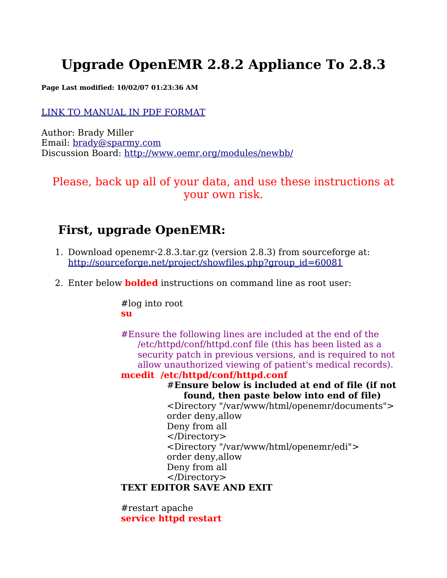# **Upgrade OpenEMR 2.8.2 Appliance To 2.8.3**

**Page Last modified: 10/02/07 01:23:36 AM**

#### LINK TO [MANUAL](http://www.bradymd.com/appliance/update2/OpenEMR2_8_2Upgrade2_8_3.pdf) IN PDF FORMAT

Author: Brady Miller Email: [brady@sparmy.com](mailto:brady@sparmy.com) Discussion Board: <http://www.oemr.org/modules/newbb/>

Please, back up all of your data, and use these instructions at your own risk.

## **First, upgrade OpenEMR:**

- 1. Download openemr-2.8.3.tar.gz (version 2.8.3) from sourceforge at: [http://sourceforge.net/project/showfiles.php?group\\_id=60081](http://sourceforge.net/project/showfiles.php?group_id=60081)
- 2. Enter below **bolded** instructions on command line as root user:

#log into root **su**

#Ensure the following lines are included at the end of the /etc/httpd/conf/httpd.conf file (this has been listed as a security patch in previous versions, and is required to not allow unauthorized viewing of patient's medical records).

#### **mcedit /etc/httpd/conf/httpd.conf**

#### #**Ensure below is included at end of file (if not found, then paste below into end of file)**

<Directory "/var/www/html/openemr/documents"> order deny,allow Deny from all </Directory> <Directory "/var/www/html/openemr/edi"> order deny,allow Deny from all </Directory>

## **TEXT EDITOR SAVE AND EXIT**

#restart apache **service httpd restart**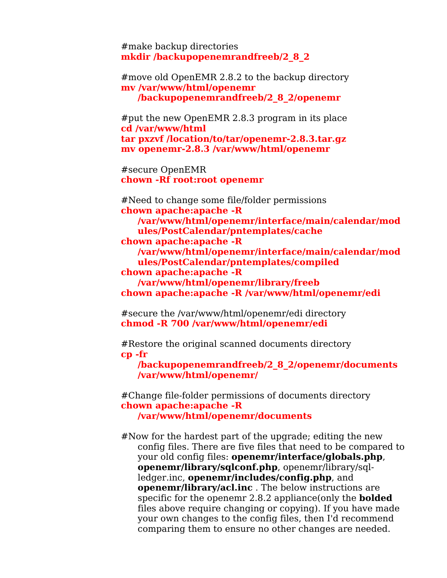#make backup directories **mkdir /backupopenemrandfreeb/2\_8\_2**

#move old OpenEMR 2.8.2 to the backup directory **mv /var/www/html/openemr /backupopenemrandfreeb/2\_8\_2/openemr**

#put the new OpenEMR 2.8.3 program in its place **cd /var/www/html tar pxzvf /location/to/tar/openemr-2.8.3.tar.gz mv openemr-2.8.3 /var/www/html/openemr**

#secure OpenEMR **chown -Rf root:root openemr**

#Need to change some file/folder permissions **chown apache:apache -R /var/www/html/openemr/interface/main/calendar/mod ules/PostCalendar/pntemplates/cache chown apache:apache -R /var/www/html/openemr/interface/main/calendar/mod ules/PostCalendar/pntemplates/compiled chown apache:apache -R /var/www/html/openemr/library/freeb chown apache:apache -R /var/www/html/openemr/edi**

#secure the /var/www/html/openemr/edi directory **chmod -R 700 /var/www/html/openemr/edi**

#Restore the original scanned documents directory **cp -fr**

**/backupopenemrandfreeb/2\_8\_2/openemr/documents /var/www/html/openemr/**

#Change file-folder permissions of documents directory **chown apache:apache -R /var/www/html/openemr/documents**

#Now for the hardest part of the upgrade; editing the new config files. There are five files that need to be compared to your old config files: **openemr/interface/globals.php**, **openemr/library/sqlconf.php**, openemr/library/sqlledger.inc, **openemr/includes/config.php**, and **openemr/library/acl.inc** . The below instructions are specific for the openemr 2.8.2 appliance(only the **bolded** files above require changing or copying). If you have made your own changes to the config files, then I'd recommend comparing them to ensure no other changes are needed.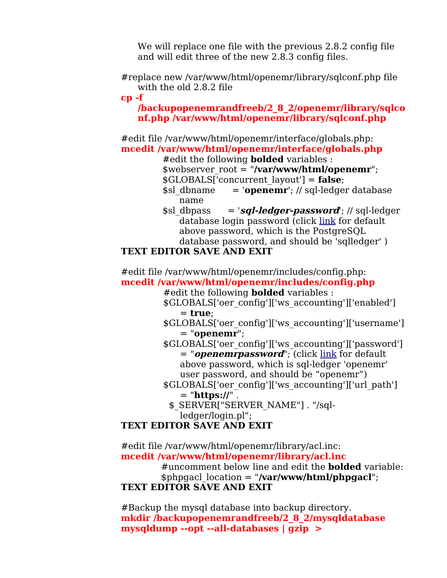We will replace one file with the previous 2.8.2 config file and will edit three of the new 2.8.3 config files.

#replace new /var/www/html/openemr/library/sqlconf.php file with the old 2.8.2 file

**cp -f**

**/backupopenemrandfreeb/2\_8\_2/openemr/library/sqlco nf.php /var/www/html/openemr/library/sqlconf.php**

#edit file /var/www/html/openemr/interface/globals.php: **mcedit /var/www/html/openemr/interface/globals.php**

#edit the following **bolded** variables :

\$webserver\_root = "**/var/www/html/openemr**"; \$GLOBALS['concurrent\_layout'] = **false**;

- $\text{fsl}$  dbname = '**openemr**'; // sql-ledger database name
- <span id="page-2-1"></span>\$sl\_dbpass = '**sql-ledger-password**'; // sql-ledger database login password (click [link](#page-2-1) for default above password, which is the PostgreSQL database password, and should be 'sqlledger' )

## **TEXT EDITOR SAVE AND EXIT**

#edit file /var/www/html/openemr/includes/config.php: **mcedit /var/www/html/openemr/includes/config.php**

#edit the following **bolded** variables :

\$GLOBALS['oer\_config']['ws\_accounting']['enabled'] = **true**;

- \$GLOBALS['oer\_config']['ws\_accounting']['username']  $=$  "**openemr**";
- <span id="page-2-0"></span>\$GLOBALS['oer\_config']['ws\_accounting']['password'] = "*openemrpassword*"; (click <u>[link](#page-2-0)</u> for default above password, which is sql-ledger 'openemr' user password, and should be "openemr")
- \$GLOBALS['oer\_config']['ws\_accounting']['url\_path'] = "**https://**" .
	- \$ SERVER["SERVER NAME"] . "/sqlledger/login.pl";

## **TEXT EDITOR SAVE AND EXIT**

#edit file /var/www/html/openemr/library/acl.inc: **mcedit /var/www/html/openemr/library/acl.inc**

#uncomment below line and edit the **bolded** variable: \$phpgacl\_location = "**/var/www/html/phpgacl**"; **TEXT EDITOR SAVE AND EXIT**

#Backup the mysql database into backup directory. **mkdir /backupopenemrandfreeb/2\_8\_2/mysqldatabase mysqldump --opt --all-databases | gzip >**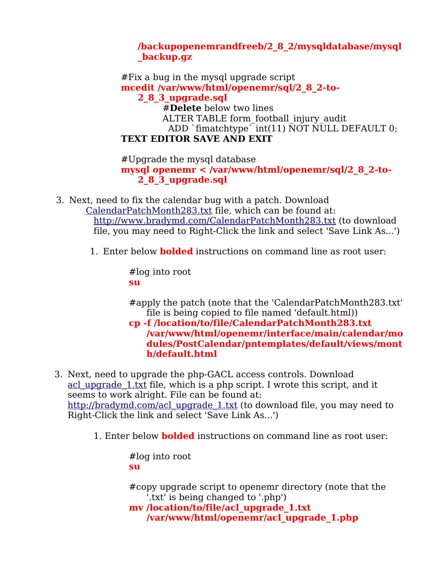### **/backupopenemrandfreeb/2\_8\_2/mysqldatabase/mysql \_backup.gz**

#Fix a bug in the mysql upgrade script **mcedit /var/www/html/openemr/sql/2\_8\_2-to-2\_8\_3\_upgrade.sql** #**Delete** below two lines ALTER TABLE form football injury audit ADD `fimatchtype` $\overline{int(11)}$   $\overline{NOT}$   $\overline{NULL}$  DEFAULT 0; **TEXT EDITOR SAVE AND EXIT**

#Upgrade the mysql database **mysql openemr < /var/www/html/openemr/sql/2\_8\_2-to-2\_8\_3\_upgrade.sql**

- 3. Next, need to fix the calendar bug with a patch. Download [CalendarPatchMonth283.txt](http://www.bradymd.com/CalendarPatchMonth283.txt) file, which can be found at: <http://www.bradymd.com/CalendarPatchMonth283.txt> (to download file, you may need to Right-Click the link and select 'Save Link As...')
	- 1. Enter below **bolded** instructions on command line as root user:

#log into root **su**

#apply the patch (note that the 'CalendarPatchMonth283.txt' file is being copied to file named 'default.html))

**cp -f /location/to/file/CalendarPatchMonth283.txt /var/www/html/openemr/interface/main/calendar/mo dules/PostCalendar/pntemplates/default/views/mont h/default.html**

- 3. Next, need to upgrade the php-GACL access controls. Download acl upgrade 1.txt file, which is a php script. I wrote this script, and it seems to work alright. File can be found at: [http://bradymd.com/acl\\_upgrade\\_1.txt](http://bradymd.com/acl_upgrade_1.txt) (to download file, you may need to Right-Click the link and select 'Save Link As...')
	- 1. Enter below **bolded** instructions on command line as root user:

#log into root **su**

#copy upgrade script to openemr directory (note that the '.txt' is being changed to '.php') **mv /location/to/file/acl\_upgrade\_1.txt /var/www/html/openemr/acl\_upgrade\_1.php**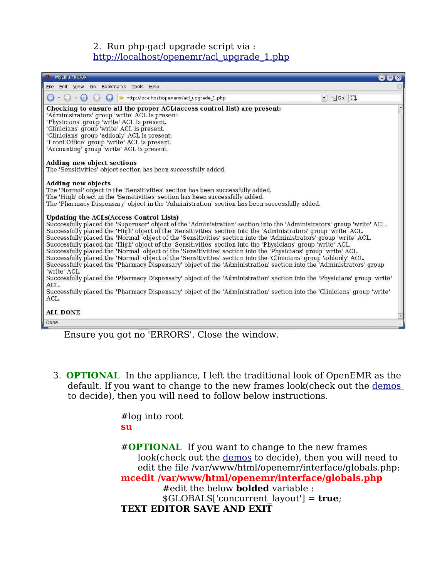#### 2. Run php-gacl upgrade script via : [http://localhost/openemr/acl\\_upgrade\\_1.php](http://localhost/openemr/acl_upgrade_1.php)



Ensure you got no 'ERRORS'. Close the window.

3. **OPTIONAL** In the appliance, I left the traditional look of OpenEMR as the default. If you want to change to the new frames look(check out the [demos](#page-4-1) to decide), then you will need to follow below instructions.

> <span id="page-4-1"></span>#log into root **su**

<span id="page-4-0"></span>#**OPTIONAL** If you want to change to the new frames look(check out the [demos](#page-4-0) to decide), then you will need to edit the file /var/www/html/openemr/interface/globals.php: **mcedit /var/www/html/openemr/interface/globals.php** #edit the below **bolded** variable : \$GLOBALS['concurrent\_layout'] = **true**; **TEXT EDITOR SAVE AND EXIT**